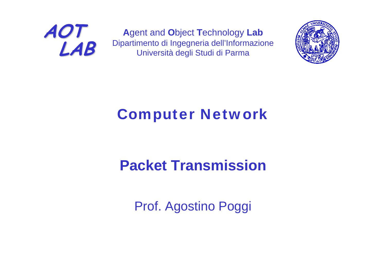

**A**gent and **O**bject **T**echnology **Lab** Dipartimento di Ingegneria dell'Informazione Università degli Studi di Parma



### Computer Network

### **Packet Transmission**

Prof. Agostino Poggi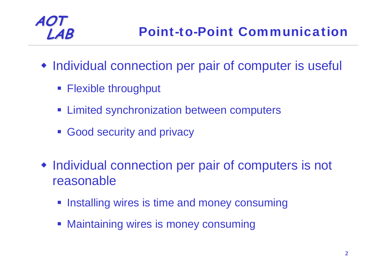

- Individual connection per pair of computer is useful
	- **Flexible throughput**
	- **Example 3** Limited synchronization between computers
	- **Good security and privacy**
- Individual connection per pair of computers is not reasonable
	- **Installing wires is time and money consuming**
	- **Maintaining wires is money consuming**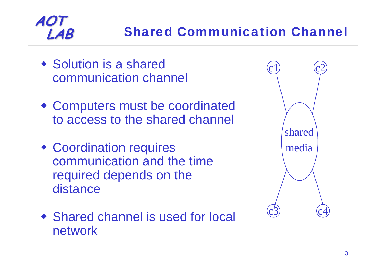### **Shared Communication Channel**

• Solution is a shared communication channel

- Computers must be coordinated to access to the shared channel
- Coordination requires communication and the time required depends on the distance
- Shared channel is used for local network

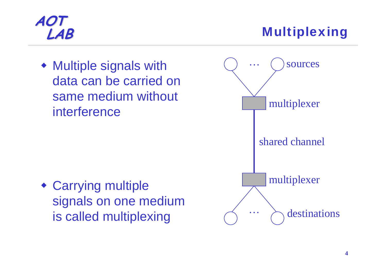**LAB** Multiplexing

 Multiple signals with data can be carried on same medium without interference

 Carrying multiple signals on one medium is called multiplexing

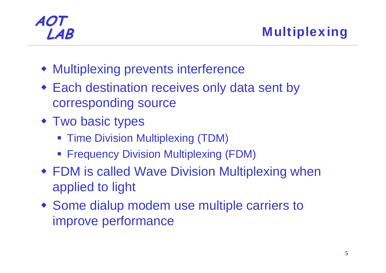**LAB** Multiplexing

- Multiplexing prevents interference
- Each destination receives only data sent by corresponding source
- Two basic types
	- **Time Division Multiplexing (TDM)**
	- **Frequency Division Multiplexing (FDM)**
- FDM is called Wave Division Multiplexing when applied to light
- Some dialup modem use multiple carriers to improve performance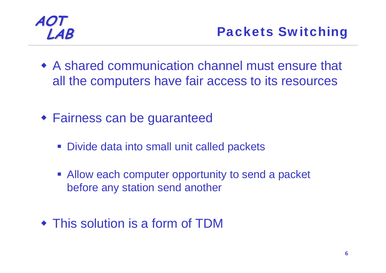- A shared communication channel must ensure that all the computers have fair access to its resources
- Fairness can be guaranteed
	- **Divide data into small unit called packets**
	- **Allow each computer opportunity to send a packet** before any station send another
- This solution is a form of TDM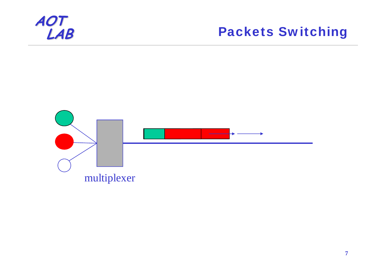

#### Packets Switching

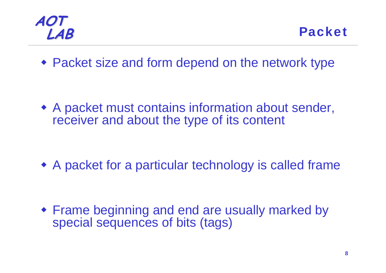

**LAB** Packet

Packet size and form depend on the network type

 A packet must contains information about sender, receiver and about the type of its content

A packet for a particular technology is called frame

 Frame beginning and end are usually marked by special sequences of bits (tags)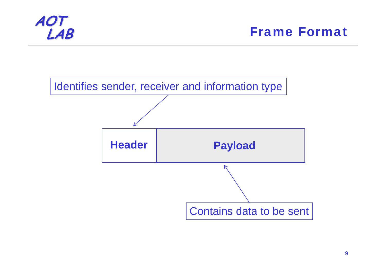

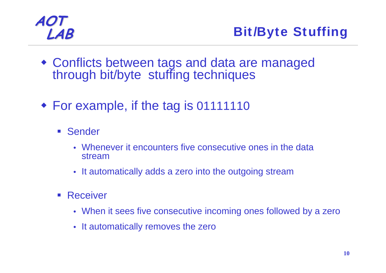

- Conflicts between tags and data are managed through bit/byte stuffing techniques
- For example, if the tag is 01111110
	- **Sender** 
		- Whenever it encounters five consecutive ones in the data stream
		- It automatically adds a zero into the outgoing stream
	- $\mathcal{L}_{\mathrm{eff}}$ **Receiver** 
		- When it sees five consecutive incoming ones followed by a zero
		- It automatically removes the zero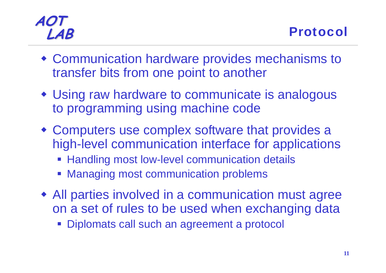- Communication hardware provides mechanisms to transfer bits from one point to another
- Using raw hardware to communicate is analogous to programming using machine code
- Computers use complex software that provides a high-level communication interface for applications
	- **EXTEND Handling most low-level communication details**
	- Managing most communication problems
- All parties involved in a communication must agree on a set of rules to be used when exchanging data
	- **Diplomats call such an agreement a protocol**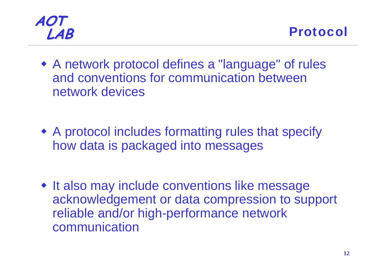



 A network protocol defines a "language" of rules and conventions for communication between network devices

 A protocol includes formatting rules that specify how data is packaged into messages

• It also may include conventions like message acknowledgement or data compression to support reliable and/or high-performance network communication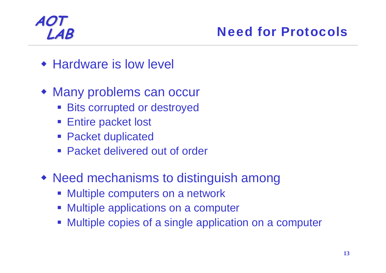#### **LAB** Need for Protocols

- **\* Hardware is low level**
- Many problems can occur
	- **Bits corrupted or destroyed**
	- **Entire packet lost**
	- **Packet duplicated**
	- Packet delivered out of order
- Need mechanisms to distinguish among
	- **Multiple computers on a network**
	- $\Box$ Multiple applications on a computer
	- Multiple copies of a single application on a computer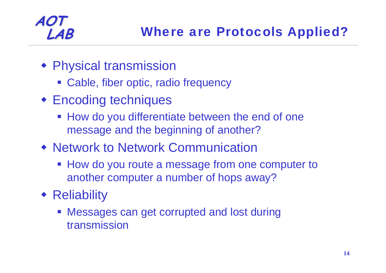- Physical transmission
	- Cable, fiber optic, radio frequency
- Encoding techniques
	- **How do you differentiate between the end of one** message and the beginning of another?
- Network to Network Communication
	- **How do you route a message from one computer to** another computer a number of hops away?
- **\*** Reliability
	- **Messages can get corrupted and lost during** transmission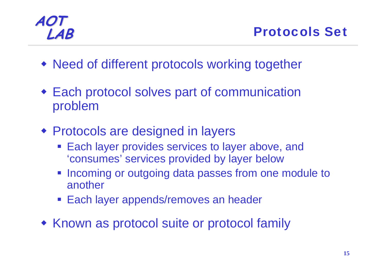**LAB** Protocols Set

- Need of different protocols working together
- Each protocol solves part of communication problem
- Protocols are designed in layers
	- **Each layer provides services to layer above, and** 'consumes' services provided by layer below
	- **Incoming or outgoing data passes from one module to** another
	- **Each layer appends/removes an header**
- Known as protocol suite or protocol family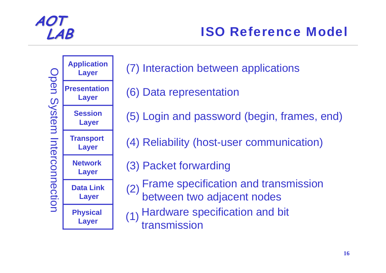

#### **LAB** ISO Reference Model



**Physical Layer**

**Data Link**

**Network** 

**Transport Layer**

**Session**

**Layer**

**Layer**

**Layer**

**Layer**

**Layer**



- (6) Data representation
- (5) Login and password (begin, frames, end)
- (4) Reliability (host-user communication)
- (3) Packet forwarding
- (2) Frame specification and transmission<br>between two adjacent nodes
- (1) Hardware specification and bit<br>transmission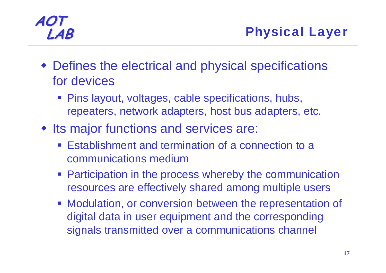- Defines the electrical and physical specifications for devices
	- **Pins layout, voltages, cable specifications, hubs,** repeaters, network adapters, host bus adapters, etc.
- Its major functions and services are:
	- **Establishment and termination of a connection to a** communications medium
	- **Participation in the process whereby the communication** resources are effectively shared among multiple users
	- **Modulation, or conversion between the representation of** digital data in user equipment and the corresponding signals transmitted over a communications channel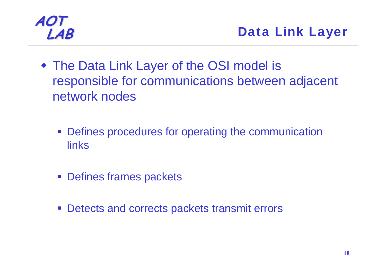

- The Data Link Layer of the OSI model is responsible for communications between adjacent network nodes
	- **Defines procedures for operating the communication** links
	- **Defines frames packets**
	- **Detects and corrects packets transmit errors**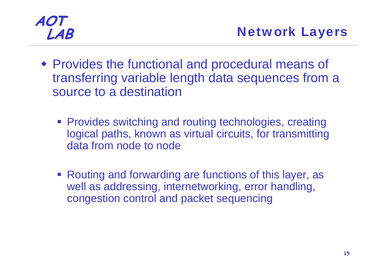- Provides the functional and procedural means of transferring variable length data sequences from a source to a destination
	- **Provides switching and routing technologies, creating** logical paths, known as virtual circuits, for transmitting data from node to node
	- Routing and forwarding are functions of this layer, as well as addressing, internetworking, error handling, congestion control and packet sequencing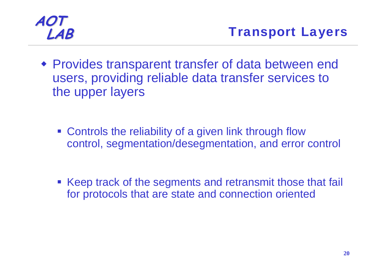Provides transparent transfer of data between end users, providing reliable data transfer services to the upper layers

**Example 2 Federal Controls the reliability of a given link through flow** control, segmentation/desegmentation, and error control

**Keep track of the segments and retransmit those that fail** for protocols that are state and connection oriented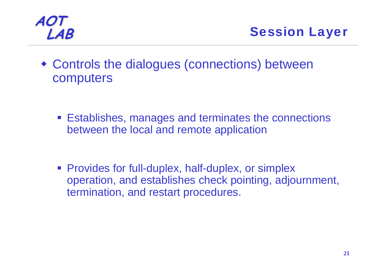

**LAB** Session Layer

 Controls the dialogues (connections) between computers

**Establishes, manages and terminates the connections** between the local and remote application

**Provides for full-duplex, half-duplex, or simplex** operation, and establishes check pointing, adjournment, termination, and restart procedures.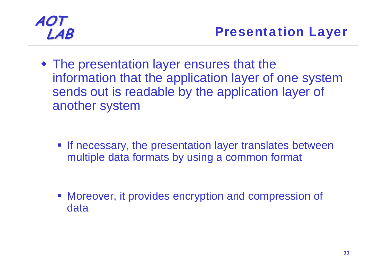The presentation layer ensures that the information that the application layer of one system sends out is readable by the application layer of another system

**If necessary, the presentation layer translates between** multiple data formats by using a common format

**• Moreover, it provides encryption and compression of** data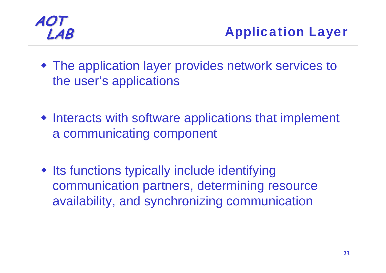

- The application layer provides network services to the user's applications
- Interacts with software applications that implement a communicating component
- $\bullet$  Its functions typically include identifying communication partners, determining resource availability, and synchronizing communication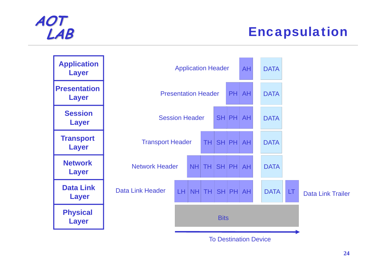#### **Encapsulation**



To Destination Device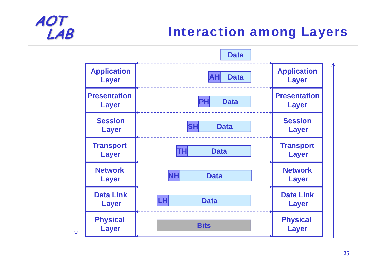#### **Interaction among Layers**